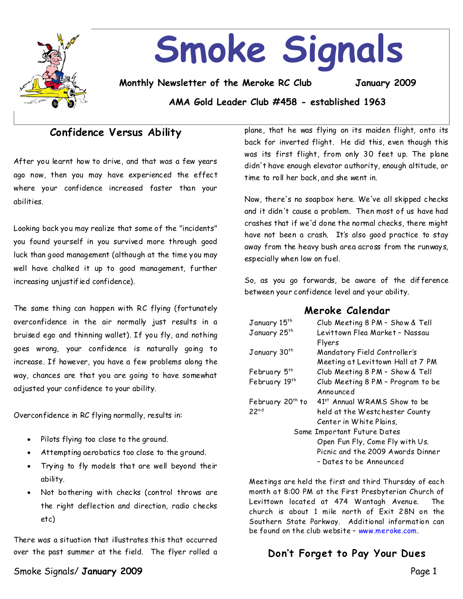

# **Smoke Signals**

**Monthly Newsletter of the Meroke RC Club January 2009**

**AMA Gold Leader Club #458 - established 1963**

# **Confidence Versus Ability**

After you learnt how to drive, and that was a few years ago now, then you may have experienced the effect where your confidence increased faster than your abilities.

Looking back you may realize that some of the "incidents" you found yourself in you survived more through good luck than good management (although at the time you may well have chalked it up to good management, further increasing unjustified confidence).

The same thing can happen with RC flying (fortunately overconfidence in the air normally just results in a bruised ego and thinning wallet). If you fly, and nothing goes wrong, your confidence is naturally going to increase. If however, you have a few problems along the way, chances are that you are going to have somewhat adjusted your confidence to your ability.

Overconfidence in RC flying normally, results in:

- Pilots flying too close to the ground.
- Attempting aerobatics too close to the ground.
- Trying to fly models that are well beyond their ability.
- Not bothering with checks (control throws are the right deflection and direction, radio checks etc)

There was a situation that illustrates this that occurred over the past summer at the field. The flyer rolled a

Smoke Signals/**January 2009** Page 1

plane, that he was flying on its maiden flight, onto its back for inverted flight. He did this, even though this was its first flight, from only30feetup.The plane didn't have enough elevator authority,enough altitude,or time to roll her back, and she wentin.

Now, there's no soapbox here. We've all skipped checks and it didn't cause a problem. Then most of us have had crashes that if we'd done the normal checks, there might have not been a crash. It's alsogood practice to stay away from the heavy bush area across from the runways, especially when low on fuel.

So, as you go forwards, be aware of the difference between your confidence level and your ability.

## **Meroke Calendar**

| Club Meeting 8 PM - Show & Tell          |  |  |
|------------------------------------------|--|--|
| Levittown Flea Market - Nassau           |  |  |
| Flyers                                   |  |  |
| Mandatory Field Controller's             |  |  |
| Meeting at Levittown Hall at 7 PM        |  |  |
| Club Meeting 8 PM - Show & Tell          |  |  |
| Club Meeting 8 PM - Program to be        |  |  |
| Announced                                |  |  |
| 41 <sup>st</sup> Annual WRAMS Show to be |  |  |
| held at the Westchester County           |  |  |
| Center in White Plains,                  |  |  |
| Some Important Future Dates              |  |  |
| Open Fun Fly, Come Fly with Us.          |  |  |
| Picnic and the 2009 Awards Dinner        |  |  |
| – Dates to be Announced                  |  |  |
|                                          |  |  |

Meetings are held the first and third Thursday of each month at 8:00 PM at the First Presbyterian Church of Levittown located at 474 Wantagh Avenue. The church is about 1 mile north of Exit 28N on the Southern State Parkway. Additional information can be found on the club website–www.meroke.com.

# **Don't Forget to Pay Your Dues**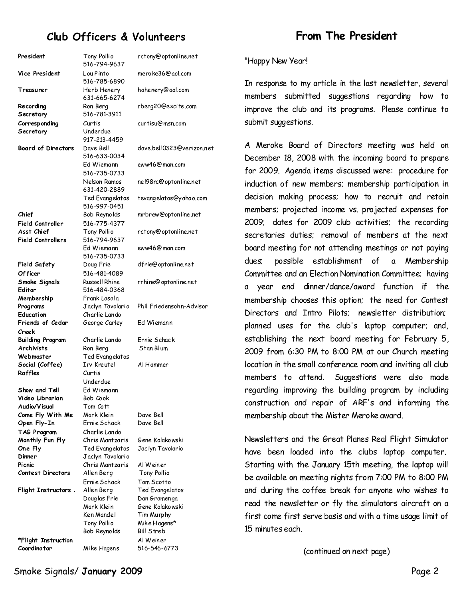# **Club Officers & Volunteers**

| President                        | Tony Pollio<br>516-794-9637    | rctony@optonline.net            |
|----------------------------------|--------------------------------|---------------------------------|
| Vice President                   | Lou Pinto<br>516-785-6890      | mero ke36@aol.com               |
| Treasurer                        | Herb Henery<br>631-665-6274    | hahenery@aol.com                |
| Recording                        | Ron Berg                       | rberg20@excite.com              |
| Secretary                        | 516-781-3911                   |                                 |
| Corresponding                    | Curtis                         | curtisu@msn.com                 |
| Secretary                        | Underdue                       |                                 |
|                                  | 917-213-4459                   |                                 |
| <b>Board of Directors</b>        | Dave Bell                      | dave.bell0323@verizo            |
|                                  | 516-633-0034<br>Ed Wiemann     | eww46@man.com                   |
|                                  | 516-735-0733                   |                                 |
|                                  | Nelson Ramos                   | nel98rc@optonline.ne            |
|                                  | 631-420-2889                   |                                 |
|                                  | Ted Evangelatos                | tevangelatos@yahoo.o            |
|                                  | 516-997-0451                   |                                 |
| Chief                            | Bob Reynolds                   | mrbrew@optonline.ne             |
| Field Controller                 | 516-775-4377                   |                                 |
| Asst Chief                       | Tony Pollio                    | rctony@optonline.net            |
| <b>Field Controllers</b>         | 516-794-9637                   |                                 |
|                                  | Ed Wiemann                     | eww46@man.com                   |
|                                  | 516-735-0733                   |                                 |
| <b>Field Safety</b>              | Doug Frie                      | dfrie@optonline.net             |
| Of ficer                         | 516-481-4089<br>Russell Rhine  |                                 |
| Smoke Signals<br>Editor          | 516-484-0368                   | rrhine@optonline.net            |
| Membership                       | Frank Lasala                   |                                 |
| Programs                         | Jaclyn Tavolario               | Phil Friedensohn-Advi           |
| Education                        | Charlie Lando                  |                                 |
| Friends of Cedar                 | George Carley                  | Ed Wiemann                      |
| Creek                            |                                |                                 |
| <b>Building Program</b>          | Charlie Lando                  | Ernie Schack                    |
| <b>Archivists</b>                | Ron Berg                       | Stan Blum                       |
| Webmaster                        | Ted Evangelatos                |                                 |
| Social (Coffee)                  | Irv Kreutel                    | Al Hammer                       |
| Raffles                          | Curtis                         |                                 |
|                                  | Underdue                       |                                 |
| Show and Tell<br>Video Librarian | Ed Wiemann<br>Bob <i>C</i> ook |                                 |
| Audio/Visual                     | Tom Cott                       |                                 |
| Come Fly With Me                 | Mark Klein                     | Dave Bell                       |
| Open Fly-In                      | Ernie Schack                   | Dave Bell                       |
| TAG Program                      | Charlie Lando                  |                                 |
| Monthly Fun Fly                  | Chris Mantzaris                | Gene Kolakowski                 |
| One Fly                          | Ted Evangelatos                | Jac lyn Tavolario               |
| Dinner                           | Jaclyn Tavolario               |                                 |
| Picnic                           | Chris Mantzaris                | Al Weiner                       |
| <b>Contest Directors</b>         | Allen Berg                     | Tony Pollio                     |
|                                  | Ernie Schack                   | Tom Scotto                      |
| Flight Instructors               | Allen Berg                     | Ted Evangelatos                 |
|                                  | Douglas Frie<br>Mark Klein     | Dan Gramenga<br>Gene Kolakowski |
|                                  | Ken Mandel                     | Tim Murphy                      |
|                                  | Tony Pollio                    | Mike Hagens*                    |
|                                  | Bob Reynolds                   | Bill Streb                      |
| *Flight Instruction              |                                | Al Weiner                       |
| Coordinator                      | Mike Hagens                    | 516-546-6773                    |

hahenery@aol.com rberg20@excite.com msn.com @ ll0323@verizon.net อ<sub>man.com</sub> @optonline.net latos@yahoo.com mrbrew@optonline.net optonline.net man.com@ ptonline.net optonline.net **Programs** Jaclyn Tavolario Phil Friedensohn-Advisor hlako wski **Flight Instructors** Allen Berg Ted Evangelatos imenga lako wski rphy 1gens\*

# **From The President**

"Happy New Year!

In response to my article in the last newsletter, several members submitted suggestions regarding how to improve the club and its programs. Please continue to submit suggestions.

A Meroke Board of Directors meeting was held on December 18, 2008 with the incoming board to prepare for 2009. Agenda items discussed were: procedure for induction of new members; membership participation in decision making process; how to recruit and retain members; projected income vs. projected expenses for 2009; dates for 2009 club activities; the recording secretaries duties; removal of members at the next board meeting for not attending meetings or not paying dues; possible establishment of a Membership Committee and an Election Nomination Committee; having a year end dinner/dance/award function if the membership chooses this option; the need for Contest Directors and Intro Pilots; newsletter distribution; planned uses for the club's laptop computer; and, establishing the next board meeting for February 5, 2009 from 6:30 PM to 8:00 PM at our Church meeting location in the small conference room and inviting all club members to attend. Suggestions were also made regarding improving the building program by including construction and repair of ARF's and informing the membership about the Mister Meroke award.

Newsletters and the Great Planes Real Flight Simulator have been loaded into the clubs laptop computer. Starting with the January 15th meeting, the laptop will be available on meeting nights from 7:00 PM to 8:00 PM and during the coffee break for anyone who wishes to read the newsletter or fly the simulators aircraft on a first come first serve basis and with atime usage limit of 15 minutes each.

(continued on next page)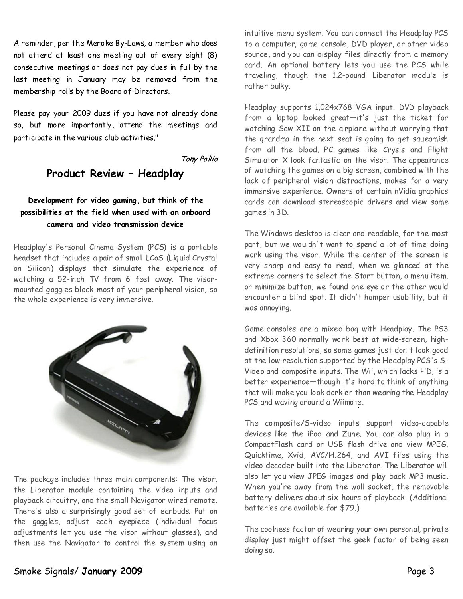A reminder, per the Meroke By-Laws, a member who does not attend at least one meeting out of every eight (8) consecutive meetings or does not pay dues in full by the last meeting in January may be removed from the membership rolls by the Board of Directors.

Please pay your 2009 dues if you have not already done so, but more importantly, attend the meetings and participate in the various club activities."

Tony Pollio

## **Product Review - Headplay**

## Development for video gaming, but think of the **possibilitiesat the field when used with an onboard camera and video transmission device**

Headplay's Personal Cinema System (PCS) is a portable headset that includes a pair of small LCoS (Liquid Crystal on Silicon) displays that simulate the experience of watching a 52-inch TV from 6 feet away. The visor mounted goggles block most of your peripheral vision, so the whole experience is very immersive.



The package includes three main components: The visor, the Liberator module containing the video inputs and playback circuitry, and the small Navigator wired remote. There's also a surprisingly good set of earbuds. Put on the goggles, adjust each eyepiece (individual focus adjustments let you use the visor without glasses), and then use the Navigator to control the system using an

intuitive menu system. You can connect the Headplay PCS to a computer, game console, DVD player, or other video source, and you can display files directly from a memory card. An optional battery lets you use the PCS while traveling, though the 1.2-pound Liberator module is rather bulky.

Headplay supports 1,024x768 VGA input. DVD playback from a laptop looked great—it's just the ticket for watching Saw XII on the airplane without worrying that the grandma in the next seat is going to get squeamish from all the blood. PC games like Crysis and Flight Simulator X look fantastic on the visor. The appearance of watching the games on a big screen, combined with the lack of peripheral vision distractions, makes for a very immersive experience. Owners of certain nVidia graphics cards can download stereoscopic drivers and view some games in 3D.

The Windows desktop is clear and readable, for the most part, but we wouldn't want to spend a lot of time doing work using the visor. While the center of the screen is very sharp and easy to read, when we glanced at the extreme corners to select the Start button, a menu item, or minimize button, we found one eye or the other would encounter a blind spot. It didn't hamper usability, but it was annoying.

Game consoles are a mixed bag with Headplay. The PS3 and Xbox 360 normally work best at wide-screen, high definition resolutions, so some games just don't look good at the low resolution supported by the Headplay PCS's S- Video and composite inputs. The Wii, which lacks HD, is a better experience—though it's hard to think of anything that will make you look dorkier than wearing the Headplay PCS and waving around a Wiimote.

The composite/S-video inputs support video-capable devices like the iPod and Zune. You can also plug in a CompactFlash card or USB flash drive and view MPEG, Quicktime, Xvid, AVC/H.264, and AVI files using the video decoder built into the Liberator. The Liberator will also let you view JPEG images and play back MP3 music. When you're away from the wall socket, the removable battery delivers about six hours of playback. (Additional batteries are available for \$79.)

The coolness factor of wearing your own personal, private display just might offset the geek factor of being seen doing so.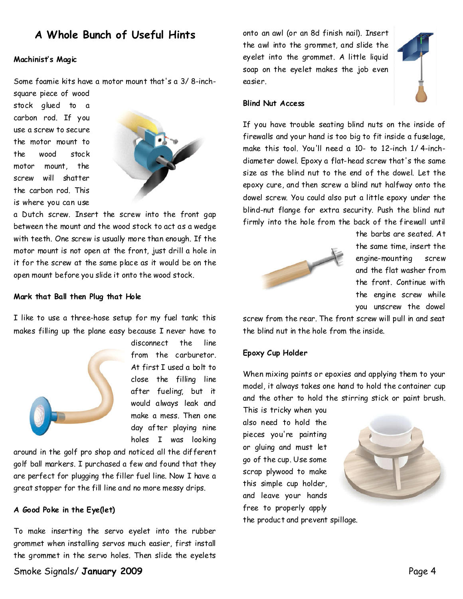## **A Whole Bunch of Useful Hints**

#### **Machinist's Magic**

Some foamie kits have a motor mount that's a 3/ 8-inch-

square piece of wood stock glued to a carbon rod. If you use a screw to secure the motor mount to the wood stock motor mount, the screw will shatter the carbon rod. This is where you can use



a Dutch screw. Insert the screw into the front gap between the mount and the wood stock to act as a wedge with teeth. One screw is usually more than enough. If the motor mount is not open at the front, just drill a hole in it for the screw at the same place as it would be on the open mount before you slide it onto the wood stock.

#### **Mark that Ball then Plug that Hole**

I like to use a three-hose setup for my fuel tank; this makes filling up the plane easy because I never have to



disconnect the line from the carburetor. At first I used a bolt to close the filling line after fueling, but it would always leak and make a mess. Then one day after playing nine holes I was looking

around in the golf pro shop and noticed all the different golf ball markers. I purchased a few and found that they are perfect for plugging the filler fuel line. Now I have a great stopper for the fill line and no more messy drips.

#### **A Good Poke in the Eye(let)**

To make inserting the servo eyelet into the rubber grommet when installing servos much easier, first install the grommet in the servo holes. Then slide the eyelets onto an awl (or an 8d finish nail). Insert the awl into the grommet, and slide the eyelet into the grommet. A little liquid soap on the eyelet makes the job even easier.



#### **Blind Nut Access**

If you have trouble seating blind nuts on the inside of firewalls and your hand is too big to fit inside a fuselage, make this tool. You'll need a 10-to 12-inch 1/ 4-inch diameter dowel. Epoxy a flat-head screw that's the same size as the blind nut to the end of the dowel. Let the epoxy cure, and then screw a blind nut halfway onto the dowel screw. You could also put a little epoxy under the blind-nut flange for extra security. Push the blind nut firmly into the hole from the back of the firewall until



the barbs are seated. At the same time, insert the engine-mounting screw and the flat washer from the front. Continue with the engine screw while you unscrew the dowel

screw from the rear. The front screw will pull in and seat the blind nut in the hole from the inside.

#### **Epoxy Cup Holder**

When mixing paints or epoxies and applying them to your model, it always takes one hand to hold the container cup and the other to hold the stirring stick or paint brush.

This is tricky when you also need to hold the pieces you're painting or gluing and must let go of the cup. Use some scrap plywood to make this simple cup holder, and leave your hands free to properly apply the product and prevent spillage.

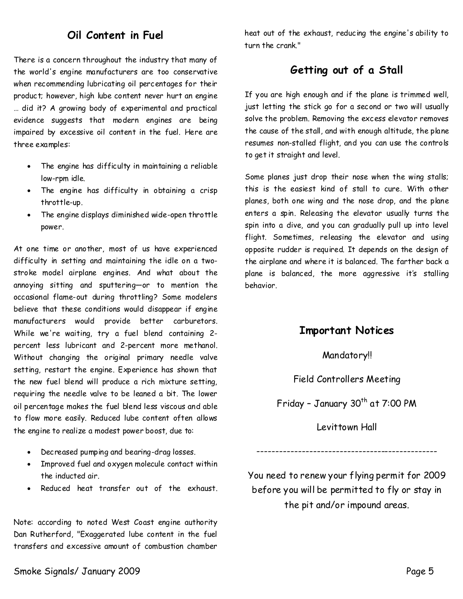## **Oil Content in Fuel**

There is a concern throughout the industry that many of the world's engine manufacturers are too conservative when recommending lubricating oil percentages for their product; however, high lube content never hurt an engine … did it? A growing body of experimental and practical evidence suggests that modern engines are being impaired by excessive oil content in the fuel. Here are three examples:

- · The engine has difficulty in maintaining a reliable low-rpm idle.
- · The engine has difficulty in obtaining a crisp throttle-up.
- The engine displays diminished wide-open throttle power.

At one time or another, most of us have experienced difficulty in setting and maintaining the idle on a two stroke model airplane engines. And what about the annoying sitting and sputtering—or to mention the occasional flame-out during throttling? Some modelers believe that these conditions would disappear if engine manufacturers would provide better carburetors. While we're waiting, try a fuel blend containing 2 percent less lubricant and 2-percent more methanol. Without changing the original primary needle valve setting, restart the engine. Experience has shown that the new fuel blend will produce a rich mixture setting, requiring the needle valve to be leaned a bit. The lower oil percentage makes the fuel blend less viscous and able to flow more easily. Reduced lube content often allows the engine to realize a modest power boost, due to:

- · Decreased pumping and bearing-drag losses.
- · Improved fuel and oxygen molecule contact within the inducted air.
- Reduced heat transfer out of the exhaust.

Note: according to noted West Coast engine authority Dan Rutherford, "Exaggerated lube content in the fuel transfers and excessive amount of combustion chamber

heat out of the exhaust, reducing the engine's ability to turn the crank."

## **Getting out of a Stall**

If you are high enough and if the plane is trimmed well, just letting the stick go for a second or two will usually solve the problem. Removing the excess elevator removes the cause of the stall, and with enough altitude, the plane resumes non-stalled flight, and you can use the controls to get it straight and level.

Some planes just drop their nose when the wing stalls; this is the easiest kind of stall to cure. With other planes, both one wing and the nose drop, and the plane enters a spin. Releasing the elevator usually turns the spin into a dive, and you can gradually pull up into level flight. Sometimes, releasing the elevator and using opposite rudder is required. It depends on the design of the airplane and where it is balanced. The farther back a plane is balanced, the more aggressive it's stalling behavior.

## **Important Notices**

#### Mandatory!!

#### Field Controllers Meeting

Friday - January 30<sup>th</sup> at 7:00 PM

Levittown Hall

------------------------------------------------

You need to renew your flying permit for 2009 before you will be permitted to fly or stay in the pit and/or impound areas.

#### Smoke Signals/ January 2009 Page 5